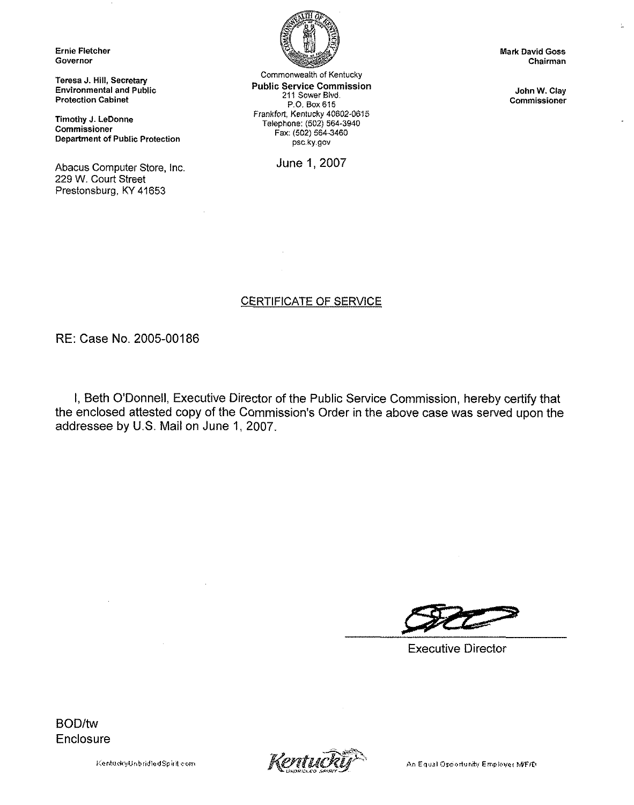Ernie Fletcher Governor

Teresa J. Hill, Secretary Environmental and Public Protection Cabinet

Timothy J. LeDonne Commissioner Department of Public Protection

Abacus Computer Store, inc. 229 W. Court Street Prestonsburg, KY 41653



Commonwealth of Kentucky Public Service Commission 211 Sower Blvd. P.O. Box 615 Frankfort, Kentucky 40602-0615 Telephone: (502) 564-3940 Fax:(502) 564-3460 psc.ky.gov

June 1, 2007

INark David Goes Chairman Ł.

John W. Clay Commissioner

# CERTIFICATE OF SERVICE

RE: Case No. 2005-00186

I, Beth O'Donnell, Executive Director of the Public Service Commission, hereby certify that the enclosed attested copy of the Commission's Order in the above case was served upon the addressee by U.S. Mail on June 1, 2007,

Executive Director

BOD/tw **Enclosure** 

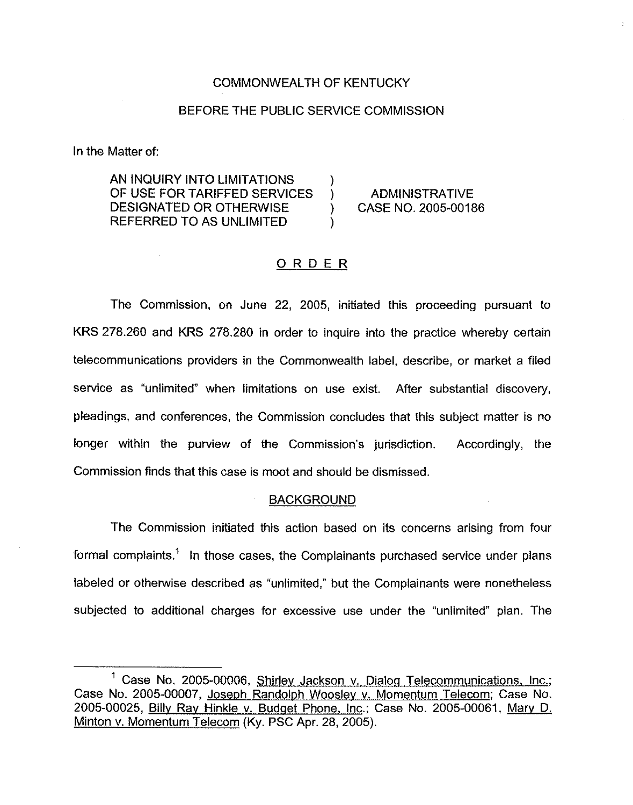# COMMONWEALTH OF KENTUCKY

# BEFORE THE PUBLIC SERVICE COMMISSION

In the Matter of:

AN INQUIRY INTO LIMITATIONS  $\qquad$  )<br>OF USE FOR TARIFFED SERVICES  $\qquad$  ) OF USE FOR TARIFFED SERVICES ) ADMINISTRATIVE<br>DESIGNATED OR OTHERWISE ) CASE NO. 2005-00186 DESIGNATED OR OTHERWISE REFERRED TO AS UNLIMITED )

#### ORDER

The Commission, on June 22, 2005, initiated this proceeding pursuant to KRS 278.260 and KRS 278.280 in order to inquire into the practice whereby certain telecommunications providers in the Commonwealth label, describe, or market a filed service as "unlimited" when limitations on use exist. After substantial discovery, pleadings, and conferences, the Commission concludes that this subject matter is no longer within the purview of the Commission's jurisdiction. Accordingly, the Commission finds that this case is moot and should be dismissed.

#### BACKGROUND

The Commission initiated this action based on its concerns arising from four formal complaints.<sup>1</sup> In those cases, the Complainants purchased service under plans labeled or otherwise described as "unlimited," but the Complainants were nonetheless subjected to additional charges for excessive use under the "unlimited" plan. The

 $<sup>1</sup>$  Case No, 2005-00006, Shirley Jackson v. Dialog Telecommunications, Inc.;</sup> Case No. 2005-00007, Joseoh Randoloh Wooslev v. Momentum Telecom; Case No. 2005-00025, Billy Ray Hinkle v. Budget Phone, Inc.; Case No. 2005-00061, Mary D. Minton v. Momentum Telecom (Ky. PSC Apr. 28, 2005).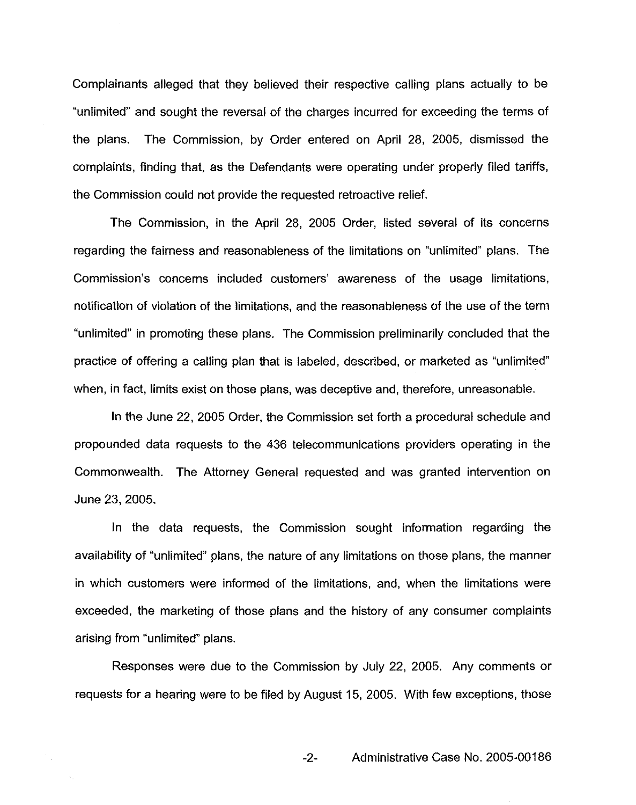Complainants alleged that they believed their respective calling plans actually to be "unlimited" and sought the reversal of the charges incurred for exceeding the terms of the plans. The Commission, by Order entered on April 28, 2005, dismissed the complaints, finding that, as the Defendants were operating under properly filed tariffs, the Commission could not provide the requested retroactive relief.

The Commission, in the April 28, 2005 Order, listed several of its concerns regarding the fairness and reasonableness of the limitations on "unlimited" plans. The Commission's concerns included customers' awareness of the usage limitations, notification of violation of the limitations, and the reasonableness of the use of the term "unlimited" in promoting these plans. The Commission preliminarily concluded that the practice of offering a calling plan that is labeled, described, or marketed as "unlimited" when, in fact, limits exist on those plans, was deceptive and, therefore, unreasonable.

In the June 22, 2005 Order, the Commission set forth a procedural schedule and propounded data requests to the 436 telecommunications providers operating in the Commonwealth. The Attorney General requested and was granted intervention on June 23, 2005.

In the data requests, the Commission sought information regarding the availability of "unlimited" plans, the nature of any limitations on those plans, the manner in which customers were informed of the limitations, and, when the limitations were exceeded, the marketing of those plans and the history of any consumer complaints arising from "unlimited" plans.

Responses were due to the Commission by July 22, 2005. Any comments or requests for a hearing were to be filed by August 15, 2005. With few exceptions, those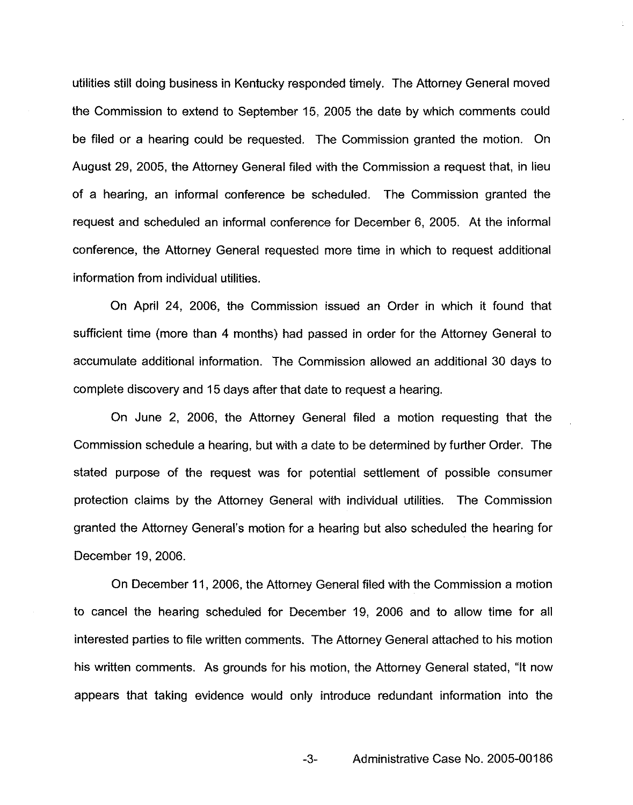utilities still doing business in Kentucky responded timely. The Attorney General moved the Commission to extend to September 15, 2005 the date by which comments could be filed or a hearing could be requested. The Commission granted the motion. On August 29, 2005, the Attorney General filed with the Commission a request that, in lieu of a hearing, an informal conference be scheduled. The Commission granted the request and scheduled an informal conference for December 6, 2005. At the informal conference, the Attorney General requested more time in which to request additional information from individual utilities.

On April 24, 2006, the Commission issued an Order in which it found that sufficient time (more than 4 months) had passed in order for the Attorney General to accumulate additional information. The Commission allowed an additional 30 days to complete discovery and 15 days after that date to request a hearing.

On June 2, 2006, the Attorney General filed a motion requesting that the Commission schedule a hearing, but with a date to be determined by further Order. The stated purpose of the request was for potential settlement of possible consumer protection claims by the Attorney General with individual utilities. The Commission granted the Attorney General's motion for a hearing but also scheduled the hearing for December 19, 2006.

On December 11, 2006, the Attorney General filed with the Commission a motion to cancel the hearing scheduled for December 19, 2006 and to allow time for all interested parties to file written comments. The Attorney General attached to his motion his written comments. As grounds for his motion, the Attorney General stated, "It now appears that taking evidence would only introduce redundant information into the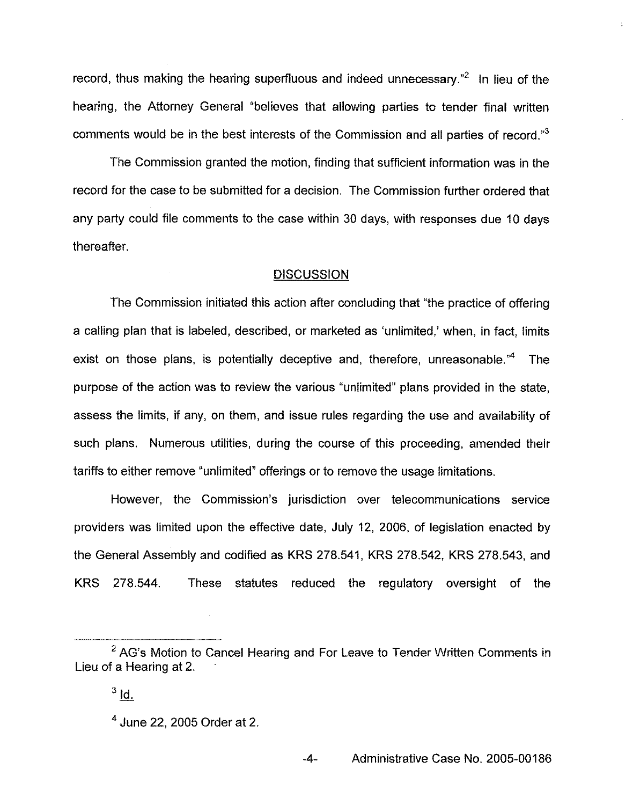record, thus making the hearing superfluous and indeed unnecessary.<sup>"2</sup> In lieu of the hearing, the Attorney General "believes that allowing parties to tender final written comments would be in the best interests of the Commission and all parties of record."

The Commission granted the motion, finding that sufficient information was in the record for the case to be submitted for a decision. The Commission further ordered that any party could file comments to the case within 30 days, with responses due 10 days thereafter,

# **DISCUSSION**

The Commission initiated this action after concluding that "the practice of offering a calling plan that is labeled, described, or marketed as 'unlimited,' when, in fact, limits exist on those plans, is potentially deceptive and, therefore, unreasonable."<sup>4</sup> The purpose of the action was to review the various "unlimited" plans provided in the state, assess the limits, if any, on them, and issue rules regarding the use and availability of such plans. Numerous utilities, during the course of this proceeding, amended their tariffs to either remove "unlimited" offerings or to remove the usage limitations.

However, the Commission's jurisdiction over telecommunications service providers was limited upon the effective date, July 12, 2006, of legislation enacted by the General Assembly and codified as KRS 278.541, KRS 278.542, KRS 278.543, and KRS 278.544. These statutes reduced the regulatory oversight of the

<sup>&</sup>lt;sup>2</sup> AG's Motion to Cancel Hearing and For Leave to Tender Written Comments in Lieu of a Hearing at 2.

 $3$   $\underline{Id}$ .

<sup>&</sup>lt;sup>4</sup> June 22, 2005 Order at 2.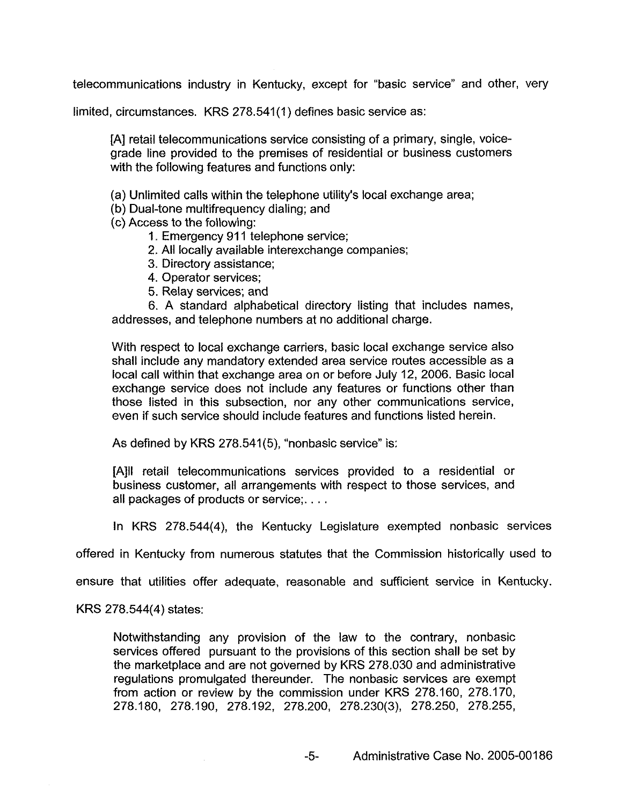telecommunications industry in Kentucky, except for "basic service" and other, very

limited, circumstances. KRS 278.541(1) defines basic service as:

[A] retail telecommunications service consisting of a primary, single, voicegrade line provided to the premises of residential or business customers with the following features and functions only:

(a) Unlimited calls within the telephone utility's local exchange area;

(b) Dual-tone multifrequency dialing; and

(c) Access to the following:

1. Emergency 911 telephone service;

2. All locally available interexchange companies;

3. Directory assistance;

4. Operator services;

5. Relay services; and

6. <sup>A</sup> standard alphabetical directory listing that includes names, addresses, and telephone numbers at no additional charge.

With respect to local exchange carriers, basic local exchange service also shall include any mandatory extended area service routes accessible as a local call within that exchange area on or before July 12, 2006. Basic local exchange service does not include any features or functions other than those listed in this subsection, nor any other communications service, even if such service should include features and functions listed herein.

As defined by KRS 278.541(5), "nonbasic service" is:

[A)ll retail telecommunications services provided to a residential or business customer, all arrangements with respect to those services, and all packages of products or service;....

In KRS 278.544(4), the Kentucky Legislature exempted nonbasic services

offered in Kentucky from numerous statutes that the Commission historically used to

ensure that utilities offer adequate, reasonable and sufficient service in Kentucky.

KRS 278.544(4) states:

Notwithstanding any provision of the law to the contrary, nonbasic services offered pursuant to the provisions of this section shall be set by the marketplace and are not governed by KRS 278.030 and administrative regulations promulgated thereunder. The nonbasic services are exempt from action or review by the commission under KRS 278.160, 2?8.170, 278.180, 278.190, 278.192, 278.200, 278.230(3), 278.250, 278.255,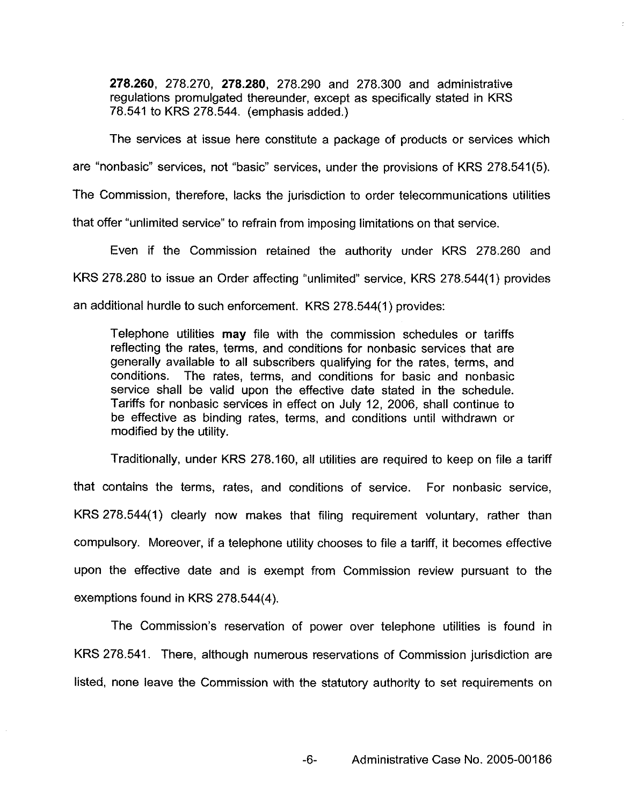278.260, 278.270, 278.280, 278.290 and 278.300 and administrative regulations promulgated thereunder, except as specifically stated in KRS 78.541 to KRS 278.544. (emphasis added.)

The services at issue here constitute a package of products or services which are "nonbasic" services, not "basic" services, under the provisions of KRS 278.541(5). The Commission, therefore, lacks the jurisdiction to order telecommunications utilities

that offer "unlimited service'\* to refrain from imposing limitations on that service.

Even if the Commission retained the authority under KRS 278.260 and KRS 278.280 to issue an Order affecting "unlimited" service, KRS 278.544(1) provides an additional hurdle to such enforcement. KRS 278.544(1) provides:

Telephone utilities may file with the commission schedules or tariffs reflecting the rates, terms, and conditions for nonbasic services that are generally available to all subscribers qualifying for the rates, terms, and conditions. The rates, terms, and conditions for basic and nonbasic service shall be valid upon the effective date stated in the schedule. Tariffs for nonbasic services in effect on July 12, 2006, shall continue to be effective as binding rates, terms, and conditions until withdrawn or modified by the utility.

Traditionally, under KRS 278.160, all utilities are required to keep on file a tariff that contains the terms, rates, and conditions of service. For nonbasic service, KRS 278.544(1) clearly now makes that filing requirement voluntary, rather than compulsory. Moreover, if a telephone utility chooses to file a tariff, it becomes effective upon the effective date and is exempt from Commission review pursuant to the exemptions found in KRS 278.544(4).

The Commission's reservation of power over telephone utilities is found in KRS 278.541. There, although numerous reservations of Commission jurisdiction are listed, none leave the Commission with the statutory authority to set requirements on